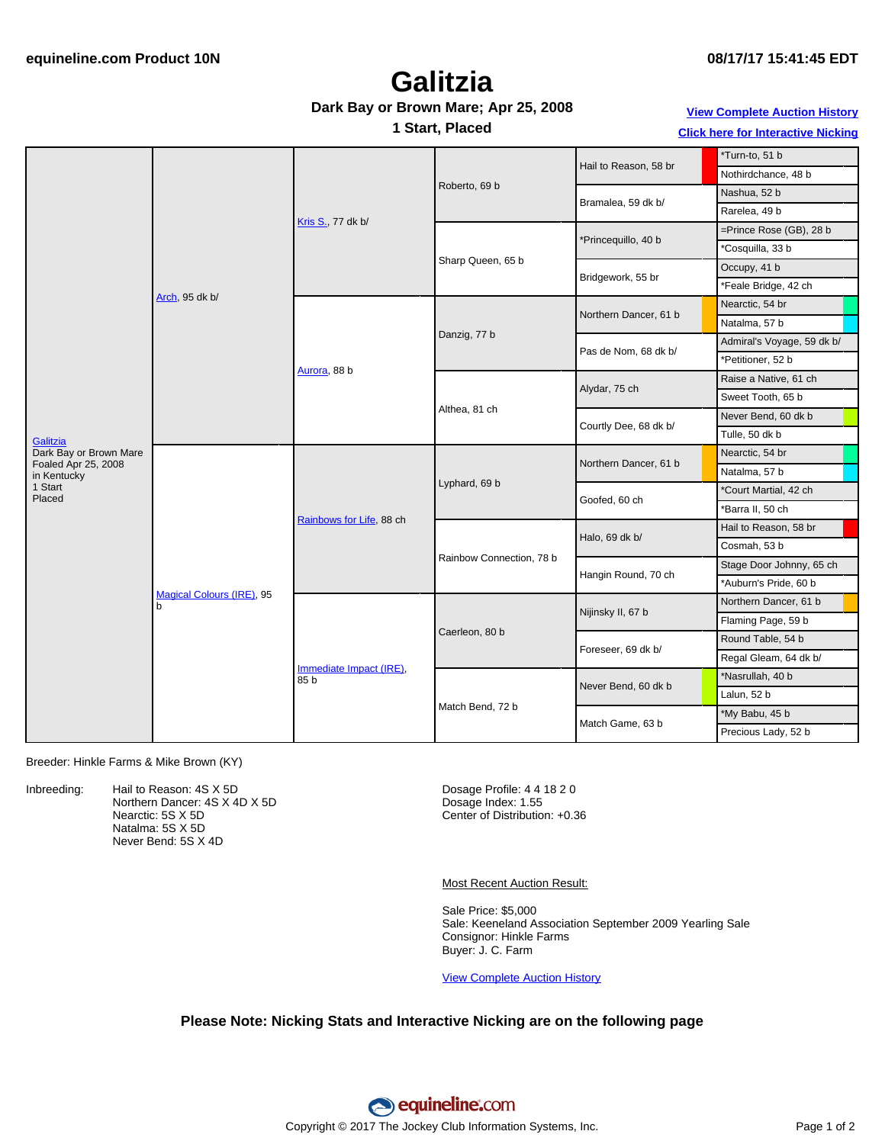## **Galitzia**

#### **Dark Bay or Brown Mare; Apr 25, 2008**

**1 Start, Placed**

**View [Complete](http://www.equineline.com/Free-Auction-Results.cfm?upsellReferenceNumber=&upsellHorseName=&upsellBreedType=&upsellHorseType=&upsellYOB=&lookupAuctionResults=true&tempHorseType=&tempSale=ALL&tempYear=ALL&search_type=HORSE&reference_number=8340769&horse_name=Fateful&horse_type=ALL&year=ALL&sale=ALL&consignor_id=&consignor_name=&buyer_id=&buyer_name=&price_range_low=&price_range_high=&availableConsignors=&availableBuyers=&fromFree5CrossPedigree=Y) Auction History Click here for [Interactive](#page-1-0) Nicking**

| Galitzia                           | Arch, 95 dk b/                        | Kris S., 77 dk b/               | Roberto, 69 b            |                       | *Turn-to, 51 b             |  |
|------------------------------------|---------------------------------------|---------------------------------|--------------------------|-----------------------|----------------------------|--|
|                                    |                                       |                                 |                          | Hail to Reason, 58 br | Nothirdchance, 48 b        |  |
|                                    |                                       |                                 |                          | Bramalea, 59 dk b/    | Nashua, 52 b               |  |
|                                    |                                       |                                 |                          |                       | Rarelea, 49 b              |  |
|                                    |                                       |                                 | Sharp Queen, 65 b        | *Princequillo, 40 b   | =Prince Rose (GB), 28 b    |  |
|                                    |                                       |                                 |                          |                       | *Cosquilla, 33 b           |  |
|                                    |                                       |                                 |                          | Bridgework, 55 br     | Occupy, 41 b               |  |
|                                    |                                       |                                 |                          |                       | *Feale Bridge, 42 ch       |  |
|                                    |                                       | Aurora, 88 b                    | Danzig, 77 b             | Northern Dancer, 61 b | Nearctic, 54 br            |  |
|                                    |                                       |                                 |                          |                       | Natalma, 57 b              |  |
|                                    |                                       |                                 |                          | Pas de Nom, 68 dk b/  | Admiral's Voyage, 59 dk b/ |  |
|                                    |                                       |                                 |                          |                       | *Petitioner, 52 b          |  |
|                                    |                                       |                                 | Althea, 81 ch            | Alydar, 75 ch         | Raise a Native, 61 ch      |  |
|                                    |                                       |                                 |                          |                       | Sweet Tooth, 65 b          |  |
|                                    |                                       |                                 |                          | Courtly Dee, 68 dk b/ | Never Bend, 60 dk b        |  |
|                                    |                                       |                                 |                          |                       | Tulle, 50 dk b             |  |
| Dark Bay or Brown Mare             | <b>Magical Colours (IRE), 95</b><br>b | Rainbows for Life, 88 ch        | Lyphard, 69 b            | Northern Dancer, 61 b | Nearctic, 54 br            |  |
| Foaled Apr 25, 2008<br>in Kentucky |                                       |                                 |                          |                       | Natalma, 57 b              |  |
| 1 Start<br>Placed                  |                                       |                                 |                          | Goofed, 60 ch         | *Court Martial, 42 ch      |  |
|                                    |                                       |                                 |                          |                       | *Barra II, 50 ch           |  |
|                                    |                                       |                                 | Rainbow Connection, 78 b | Halo, 69 dk b/        | Hail to Reason, 58 br      |  |
|                                    |                                       |                                 |                          |                       | Cosmah, 53 b               |  |
|                                    |                                       |                                 |                          | Hangin Round, 70 ch   | Stage Door Johnny, 65 ch   |  |
|                                    |                                       |                                 |                          |                       | *Auburn's Pride, 60 b      |  |
|                                    |                                       | Immediate Impact (IRE),<br>85 b | Caerleon, 80 b           | Nijinsky II, 67 b     | Northern Dancer, 61 b      |  |
|                                    |                                       |                                 |                          |                       | Flaming Page, 59 b         |  |
|                                    |                                       |                                 |                          | Foreseer, 69 dk b/    | Round Table, 54 b          |  |
|                                    |                                       |                                 |                          |                       | Regal Gleam, 64 dk b/      |  |
|                                    |                                       |                                 | Match Bend, 72 b         | Never Bend, 60 dk b   | *Nasrullah, 40 b           |  |
|                                    |                                       |                                 |                          |                       | Lalun, 52 b                |  |
|                                    |                                       |                                 |                          | Match Game, 63 b      | *My Babu, 45 b             |  |
|                                    |                                       |                                 |                          |                       | Precious Lady, 52 b        |  |

Breeder: Hinkle Farms & Mike Brown (KY)

Inbreeding: Hail to Reason: 4S X 5D Northern Dancer: 4S X 4D X 5D Nearctic: 5S X 5D Natalma: 5S X 5D Never Bend: 5S X 4D

Dosage Profile: 4 4 18 2 0 Dosage Index: 1.55 Center of Distribution: +0.36

Most Recent Auction Result:

Sale Price: \$5,000 Sale: Keeneland Association September 2009 Yearling Sale Consignor: Hinkle Farms Buyer: J. C. Farm

View [Complete](http://www.equineline.com/Free-Auction-Results.cfm?upsellReferenceNumber=&upsellHorseName=&upsellBreedType=&upsellHorseType=&upsellYOB=&lookupAuctionResults=true&tempHorseType=&tempSale=ALL&tempYear=ALL&search_type=HORSE&reference_number=8340769&horse_name=Fateful&horse_type=ALL&year=ALL&sale=ALL&consignor_id=&consignor_name=&buyer_id=&buyer_name=&price_range_low=&price_range_high=&availableConsignors=&availableBuyers=&fromFree5CrossPedigree=Y) Auction History

#### **Please Note: Nicking Stats and Interactive Nicking are on the following page**

equineline.com Copyright © 2017 The Jockey Club Information Systems, Inc. Page 1 of 2